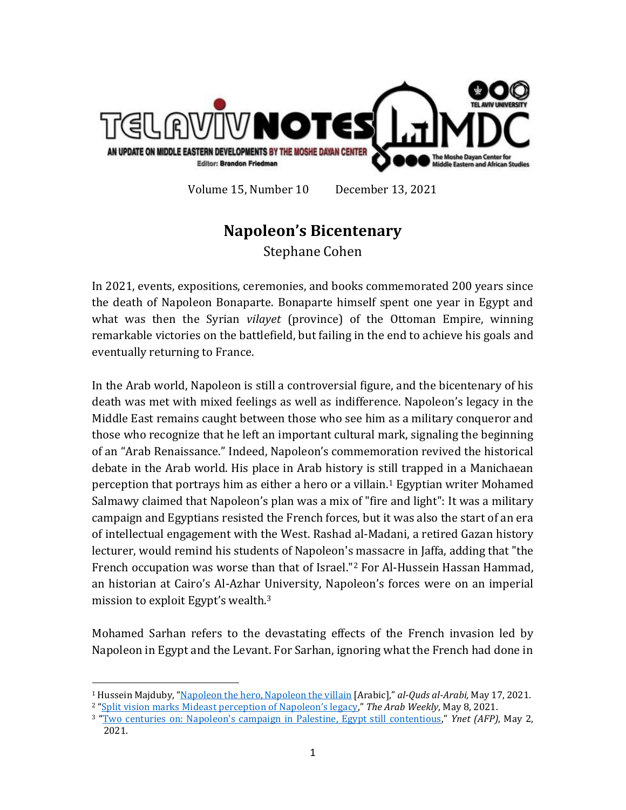

Volume 15, Number 10 December 13, 2021

## **Napoleon's Bicentenary**

Stephane Cohen

In 2021, events, expositions, ceremonies, and books commemorated 200 years since the death of Napoleon Bonaparte. Bonaparte himself spent one year in Egypt and what was then the Syrian *vilayet* (province) of the Ottoman Empire, winning remarkable victories on the battlefield, but failing in the end to achieve his goals and eventually returning to France.

In the Arab world, Napoleon is still a controversial figure, and the bicentenary of his death was met with mixed feelings as well as indifference. Napoleon's legacy in the Middle East remains caught between those who see him as a military conqueror and those who recognize that he left an important cultural mark, signaling the beginning of an "Arab Renaissance." Indeed, Napoleon's commemoration revived the historical debate in the Arab world. His place in Arab history is still trapped in a Manichaean perception that portrays him as either a hero or a villain.<sup>1</sup> Egyptian writer Mohamed Salmawy claimed that Napoleon's plan was a mix of "fire and light": It was a military campaign and Egyptians resisted the French forces, but it was also the start of an era of intellectual engagement with the West. Rashad al-Madani, a retired Gazan history lecturer, would remind his students of Napoleon's massacre in Jaffa, adding that "the French occupation was worse than that of Israel."<sup>2</sup> For Al-Hussein Hassan Hammad, an historian at Cairo's Al-Azhar University, Napoleon's forces were on an imperial mission to exploit Egypt's wealth.<sup>3</sup>

Mohamed Sarhan refers to the devastating effects of the French invasion led by Napoleon in Egypt and the Levant. For Sarhan, ignoring what the French had done in

 $\overline{\phantom{a}}$ <sup>1</sup> Hussein Majduby, "[Napoleon the hero, Napoleon the villain](https://www.alquds.co.uk/%D9%86%D8%A7%D8%A8%D9%84%D9%8A%D9%88%D9%86-%D8%A7%D9%84%D8%A8%D8%B7%D9%84-%D9%86%D8%A7%D8%A8%D9%84%D9%8A%D9%88%D9%86-%D8%A7%D9%84%D9%85%D8%AC%D8%B1%D9%85/) [Arabic]," *al-Quds al-Arabi,* May 17, 2021. <sup>2</sup> ["Split vision marks Mideast perception of Napoleon's legacy,](https://thearabweekly.com/split-vision-marks-mideast-perception-napoleons-legacy)" *The Arab Weekly*, May 8, 2021.

<sup>3</sup> "[Two centuries on: Napoleon's campaign in Palestine, Egypt still contentious](https://www.ynetnews.com/magazine/article/r1QxvAiPu)," *Ynet (AFP)*, May 2, 2021.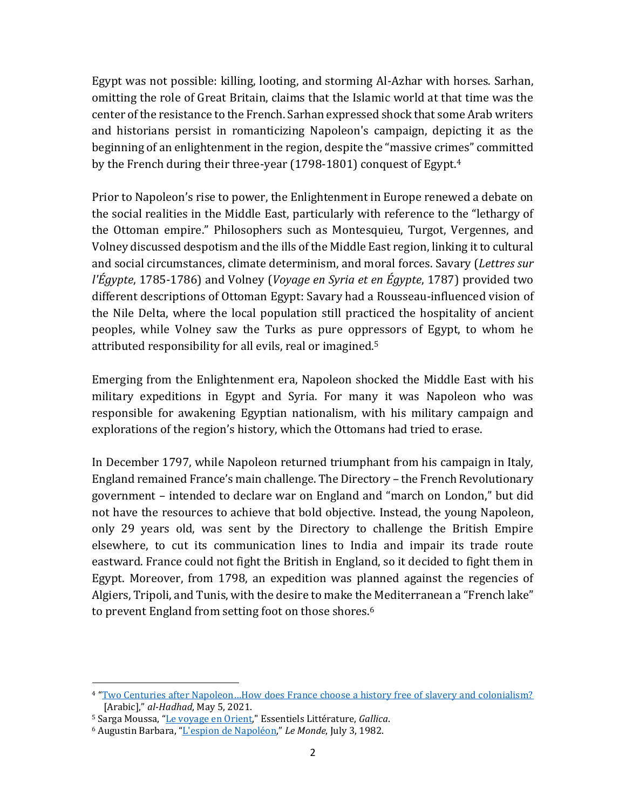Egypt was not possible: killing, looting, and storming Al-Azhar with horses. Sarhan, omitting the role of Great Britain, claims that the Islamic world at that time was the center of the resistance to the French. Sarhan expressed shock that some Arab writers and historians persist in romanticizing Napoleon's campaign, depicting it as the beginning of an enlightenment in the region, despite the "massive crimes" committed by the French during their three-year (1798-1801) conquest of Egypt.<sup>4</sup>

Prior to Napoleon's rise to power, the Enlightenment in Europe renewed a debate on the social realities in the Middle East, particularly with reference to the "lethargy of the Ottoman empire." Philosophers such as Montesquieu, Turgot, Vergennes, and Volney discussed despotism and the ills of the Middle East region, linking it to cultural and social circumstances, climate determinism, and moral forces. Savary (*Lettres sur l'Égypte*, 1785-1786) and Volney (*Voyage en Syria et en Égypte*, 1787) provided two different descriptions of Ottoman Egypt: Savary had a Rousseau-influenced vision of the Nile Delta, where the local population still practiced the hospitality of ancient peoples, while Volney saw the Turks as pure oppressors of Egypt, to whom he attributed responsibility for all evils, real or imagined. 5

Emerging from the Enlightenment era, Napoleon shocked the Middle East with his military expeditions in Egypt and Syria. For many it was Napoleon who was responsible for awakening Egyptian nationalism, with his military campaign and explorations of the region's history, which the Ottomans had tried to erase.

In December 1797, while Napoleon returned triumphant from his campaign in Italy, England remained France's main challenge. The Directory – the French Revolutionary government – intended to declare war on England and "march on London," but did not have the resources to achieve that bold objective. Instead, the young Napoleon, only 29 years old, was sent by the Directory to challenge the British Empire elsewhere, to cut its communication lines to India and impair its trade route eastward. France could not fight the British in England, so it decided to fight them in Egypt. Moreover, from 1798, an expedition was planned against the regencies of Algiers, Tripoli, and Tunis, with the desire to make the Mediterranean a "French lake" to prevent England from setting foot on those shores.<sup>6</sup>

 $\overline{\phantom{a}}$ 

<sup>4</sup> ["Two Centuries after Napoleon…How does France choose a history free of slavery and colonialism?](https://www.hdhod.com/%D9%82%D8%B1%D9%86%D8%A7%D9%86-%D8%A8%D8%B9%D8%AF-%D9%86%D8%A7%D8%A8%D9%84%D9%8A%D9%88%D9%86-%D9%83%D9%8A%D9%81-%D8%AA%D9%86%D8%AA%D9%82%D9%8A-%D9%81%D8%B1%D9%86%D8%B3%D8%A7-%D8%AA%D8%A7%D8%B1%D9%8A%D8%AE%D8%A7%D9%8B-%D8%AE%D8%A7%D9%84%D9%8A%D8%A7%D9%8B-%D9%85%D9%86-%D8%A7%D9%84%D8%B9%D8%A8%D9%88%D8%AF%D9%8A%D8%A9_a97614.html) [Arabic]," *al-Hadhad*, May 5, 2021.

<sup>5</sup> Sarga Moussa, "[Le voyage en Orient,"](https://gallica.bnf.fr/essentiels/repere/voyage-orient) Essentiels Littérature, *Gallica*.

<sup>6</sup> Augustin Barbara, "[L'espion de Napoléon,](https://www.lemonde.fr/archives/article/1982/07/03/l-espion-de-napoleon_2890902_1819218.html)" *Le Monde*, July 3, 1982.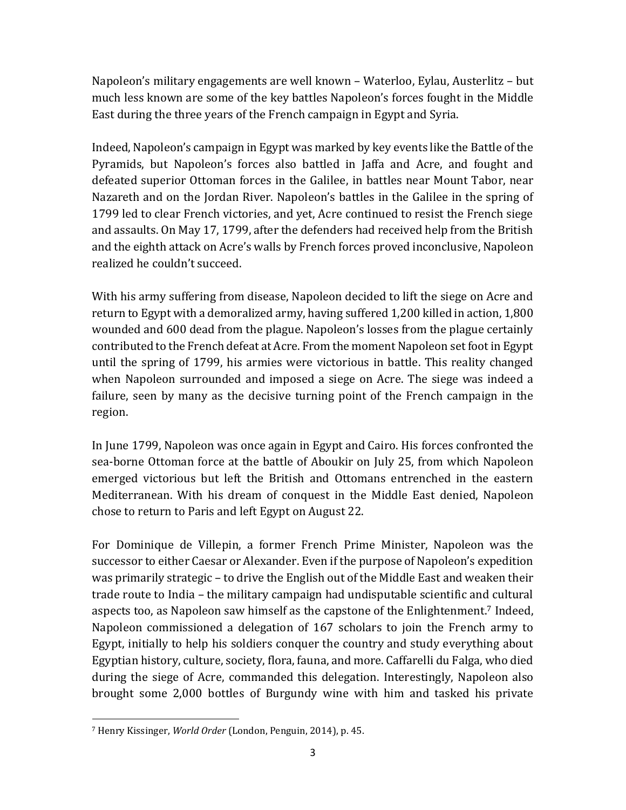Napoleon's military engagements are well known – Waterloo, Eylau, Austerlitz – but much less known are some of the key battles Napoleon's forces fought in the Middle East during the three years of the French campaign in Egypt and Syria.

Indeed, Napoleon's campaign in Egypt was marked by key events like the Battle of the Pyramids, but Napoleon's forces also battled in Jaffa and Acre, and fought and defeated superior Ottoman forces in the Galilee, in battles near Mount Tabor, near Nazareth and on the Jordan River. Napoleon's battles in the Galilee in the spring of 1799 led to clear French victories, and yet, Acre continued to resist the French siege and assaults. On May 17, 1799, after the defenders had received help from the British and the eighth attack on Acre's walls by French forces proved inconclusive, Napoleon realized he couldn't succeed.

With his army suffering from disease, Napoleon decided to lift the siege on Acre and return to Egypt with a demoralized army, having suffered 1,200 killed in action, 1,800 wounded and 600 dead from the plague. Napoleon's losses from the plague certainly contributed to the French defeat at Acre. From the moment Napoleon set foot in Egypt until the spring of 1799, his armies were victorious in battle. This reality changed when Napoleon surrounded and imposed a siege on Acre. The siege was indeed a failure, seen by many as the decisive turning point of the French campaign in the region.

In June 1799, Napoleon was once again in Egypt and Cairo. His forces confronted the sea-borne Ottoman force at the battle of Aboukir on July 25, from which Napoleon emerged victorious but left the British and Ottomans entrenched in the eastern Mediterranean. With his dream of conquest in the Middle East denied, Napoleon chose to return to Paris and left Egypt on August 22.

For Dominique de Villepin, a former French Prime Minister, Napoleon was the successor to either Caesar or Alexander. Even if the purpose of Napoleon's expedition was primarily strategic – to drive the English out of the Middle East and weaken their trade route to India – the military campaign had undisputable scientific and cultural aspects too, as Napoleon saw himself as the capstone of the Enlightenment. <sup>7</sup> Indeed, Napoleon commissioned a delegation of 167 scholars to join the French army to Egypt, initially to help his soldiers conquer the country and study everything about Egyptian history, culture, society, flora, fauna, and more. Caffarelli du Falga, who died during the siege of Acre, commanded this delegation. Interestingly, Napoleon also brought some 2,000 bottles of Burgundy wine with him and tasked his private

 $\overline{a}$ <sup>7</sup> Henry Kissinger, *World Order* (London, Penguin, 2014), p. 45.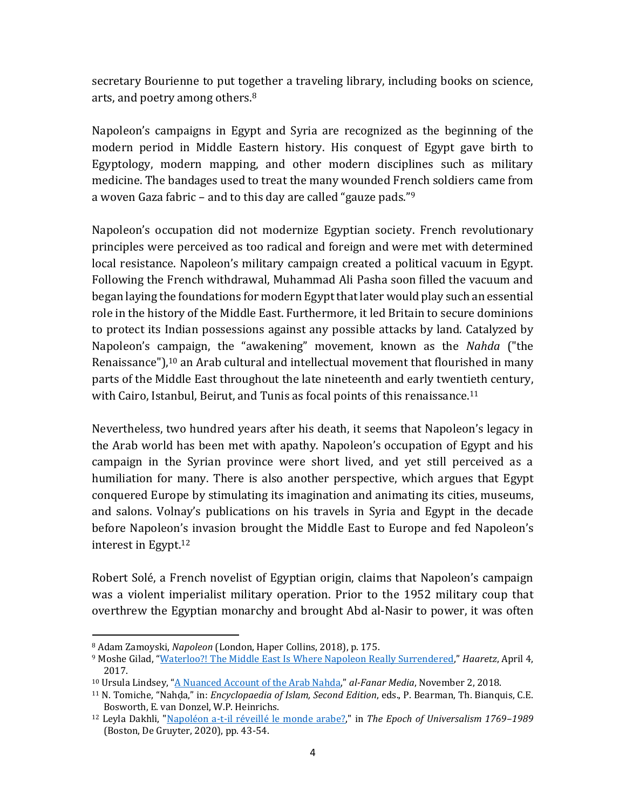secretary Bourienne to put together a traveling library, including books on science, arts, and poetry among others.<sup>8</sup>

Napoleon's campaigns in Egypt and Syria are recognized as the beginning of the modern period in Middle Eastern history. His conquest of Egypt gave birth to Egyptology, modern mapping, and other modern disciplines such as military medicine. The bandages used to treat the many wounded French soldiers came from a woven Gaza fabric – and to this day are called "gauze pads."<sup>9</sup>

Napoleon's occupation did not modernize Egyptian society. French revolutionary principles were perceived as too radical and foreign and were met with determined local resistance. Napoleon's military campaign created a political vacuum in Egypt. Following the French withdrawal, Muhammad Ali Pasha soon filled the vacuum and began laying the foundations for modern Egypt that later would play such an essential role in the history of the Middle East. Furthermore, it led Britain to secure dominions to protect its Indian possessions against any possible attacks by land. Catalyzed by Napoleon's campaign, the "awakening" movement, known as the *Nahda* ("the Renaissance"), <sup>10</sup> an Arab cultural and intellectual movement that flourished in many parts of the Middle East throughout the late nineteenth and early twentieth century, with Cairo, Istanbul, Beirut, and Tunis as focal points of this renaissance.<sup>11</sup>

Nevertheless, two hundred years after his death, it seems that Napoleon's legacy in the Arab world has been met with apathy. Napoleon's occupation of Egypt and his campaign in the Syrian province were short lived, and yet still perceived as a humiliation for many. There is also another perspective, which argues that Egypt conquered Europe by stimulating its imagination and animating its cities, museums, and salons. Volnay's publications on his travels in Syria and Egypt in the decade before Napoleon's invasion brought the Middle East to Europe and fed Napoleon's interest in Egypt. 12

Robert Solé, a French novelist of Egyptian origin, claims that Napoleon's campaign was a violent imperialist military operation. Prior to the 1952 military coup that overthrew the Egyptian monarchy and brought Abd al-Nasir to power, it was often

l

<sup>8</sup> Adam Zamoyski, *Napoleon* (London, Haper Collins, 2018), p. 175.

<sup>9</sup> Moshe Gilad, "[Waterloo?! The Middle East Is Where Napoleon Really Surrendered](https://www.haaretz.com/life/.premium.MAGAZINE-waterloo-the-middle-east-is-where-napoleon-really-surrendered-1.5456820)," *Haaretz*, April 4, 2017.

<sup>10</sup> Ursula Lindsey, "[A Nuanced Account of the Arab Nahda](https://www.al-fanarmedia.org/2018/11/a-nuanced-account-of-the-arab-nahda/)," *al-Fanar Media*, November 2, 2018.

<sup>11</sup> N. Tomiche, "Nahḍa," in: *Encyclopaedia of Islam, Second Edition*, eds., P. Bearman, Th. Bianquis, C.E. Bosworth, E. van Donzel, W.P. Heinrichs.

<sup>12</sup> Leyla Dakhli, ["Napoléon a-t-il réveillé le monde arabe?,"](https://www.degruyter.com/document/doi/10.1515/9783110691504-002/html) in *The Epoch of Universalism 1769–1989* (Boston, De Gruyter, 2020), pp. 43-54.